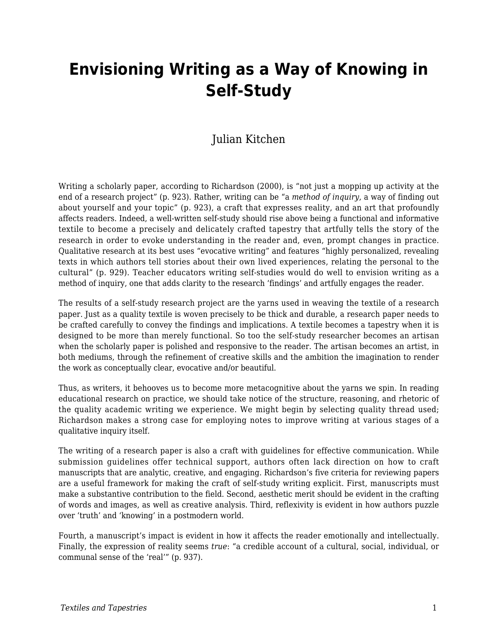# **Envisioning Writing as a Way of Knowing in Self-Study**

### Julian Kitchen

Writing a scholarly paper, according to Richardson (2000), is "not just a mopping up activity at the end of a research project" (p. 923). Rather, writing can be "a *method of inquiry*, a way of finding out about yourself and your topic" (p. 923), a craft that expresses reality, and an art that profoundly affects readers. Indeed, a well-written self-study should rise above being a functional and informative textile to become a precisely and delicately crafted tapestry that artfully tells the story of the research in order to evoke understanding in the reader and, even, prompt changes in practice. Qualitative research at its best uses "evocative writing" and features "highly personalized, revealing texts in which authors tell stories about their own lived experiences, relating the personal to the cultural" (p. 929). Teacher educators writing self-studies would do well to envision writing as a method of inquiry, one that adds clarity to the research 'findings' and artfully engages the reader.

The results of a self-study research project are the yarns used in weaving the textile of a research paper. Just as a quality textile is woven precisely to be thick and durable, a research paper needs to be crafted carefully to convey the findings and implications. A textile becomes a tapestry when it is designed to be more than merely functional. So too the self-study researcher becomes an artisan when the scholarly paper is polished and responsive to the reader. The artisan becomes an artist, in both mediums, through the refinement of creative skills and the ambition the imagination to render the work as conceptually clear, evocative and/or beautiful.

Thus, as writers, it behooves us to become more metacognitive about the yarns we spin. In reading educational research on practice, we should take notice of the structure, reasoning, and rhetoric of the quality academic writing we experience. We might begin by selecting quality thread used; Richardson makes a strong case for employing notes to improve writing at various stages of a qualitative inquiry itself.

The writing of a research paper is also a craft with guidelines for effective communication. While submission guidelines offer technical support, authors often lack direction on how to craft manuscripts that are analytic, creative, and engaging. Richardson's five criteria for reviewing papers are a useful framework for making the craft of self-study writing explicit. First, manuscripts must make a substantive contribution to the field. Second, aesthetic merit should be evident in the crafting of words and images, as well as creative analysis. Third, reflexivity is evident in how authors puzzle over 'truth' and 'knowing' in a postmodern world.

Fourth, a manuscript's impact is evident in how it affects the reader emotionally and intellectually. Finally, the expression of reality seems *true*: "a credible account of a cultural, social, individual, or communal sense of the 'real'" (p. 937).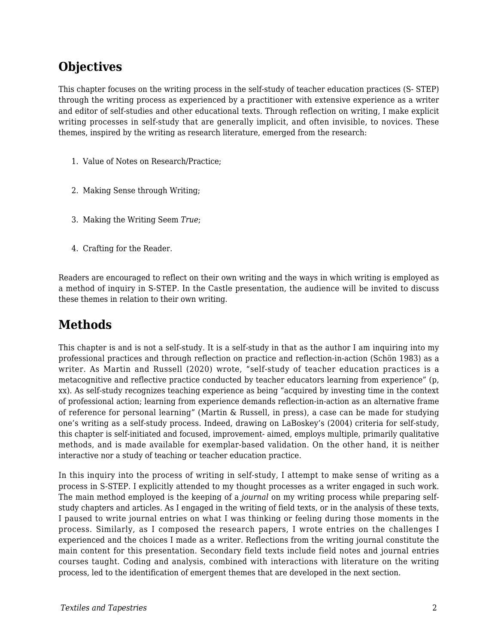## **Objectives**

This chapter focuses on the writing process in the self-study of teacher education practices (S- STEP) through the writing process as experienced by a practitioner with extensive experience as a writer and editor of self-studies and other educational texts. Through reflection on writing, I make explicit writing processes in self-study that are generally implicit, and often invisible, to novices. These themes, inspired by the writing as research literature, emerged from the research:

- 1. Value of Notes on Research/Practice;
- 2. Making Sense through Writing;
- 3. Making the Writing Seem *True*;
- 4. Crafting for the Reader.

Readers are encouraged to reflect on their own writing and the ways in which writing is employed as a method of inquiry in S-STEP. In the Castle presentation, the audience will be invited to discuss these themes in relation to their own writing.

# **Methods**

This chapter is and is not a self-study. It is a self-study in that as the author I am inquiring into my professional practices and through reflection on practice and reflection-in-action (Schön 1983) as a writer. As Martin and Russell (2020) wrote, "self-study of teacher education practices is a metacognitive and reflective practice conducted by teacher educators learning from experience" (p, xx). As self-study recognizes teaching experience as being "acquired by investing time in the context of professional action; learning from experience demands reflection-in-action as an alternative frame of reference for personal learning" (Martin & Russell, in press), a case can be made for studying one's writing as a self-study process. Indeed, drawing on LaBoskey's (2004) criteria for self-study, this chapter is self-initiated and focused, improvement- aimed, employs multiple, primarily qualitative methods, and is made available for exemplar-based validation. On the other hand, it is neither interactive nor a study of teaching or teacher education practice.

In this inquiry into the process of writing in self-study, I attempt to make sense of writing as a process in S-STEP. I explicitly attended to my thought processes as a writer engaged in such work. The main method employed is the keeping of a *journal* on my writing process while preparing selfstudy chapters and articles. As I engaged in the writing of field texts, or in the analysis of these texts, I paused to write journal entries on what I was thinking or feeling during those moments in the process. Similarly, as I composed the research papers, I wrote entries on the challenges I experienced and the choices I made as a writer. Reflections from the writing journal constitute the main content for this presentation. Secondary field texts include field notes and journal entries courses taught. Coding and analysis, combined with interactions with literature on the writing process, led to the identification of emergent themes that are developed in the next section.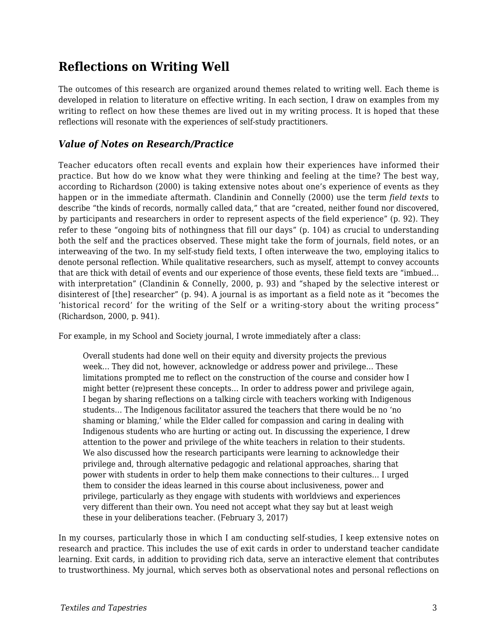### **Reflections on Writing Well**

The outcomes of this research are organized around themes related to writing well. Each theme is developed in relation to literature on effective writing. In each section, I draw on examples from my writing to reflect on how these themes are lived out in my writing process. It is hoped that these reflections will resonate with the experiences of self-study practitioners.

#### *Value of Notes on Research/Practice*

Teacher educators often recall events and explain how their experiences have informed their practice. But how do we know what they were thinking and feeling at the time? The best way, according to Richardson (2000) is taking extensive notes about one's experience of events as they happen or in the immediate aftermath. Clandinin and Connelly (2000) use the term *field texts* to describe "the kinds of records, normally called data," that are "created, neither found nor discovered, by participants and researchers in order to represent aspects of the field experience" (p. 92). They refer to these "ongoing bits of nothingness that fill our days" (p. 104) as crucial to understanding both the self and the practices observed. These might take the form of journals, field notes, or an interweaving of the two. In my self-study field texts, I often interweave the two, employing italics to denote personal reflection. While qualitative researchers, such as myself, attempt to convey accounts that are thick with detail of events and our experience of those events, these field texts are "imbued… with interpretation" (Clandinin & Connelly, 2000, p. 93) and "shaped by the selective interest or disinterest of [the] researcher" (p. 94). A journal is as important as a field note as it "becomes the 'historical record' for the writing of the Self or a writing-story about the writing process" (Richardson, 2000, p. 941).

For example, in my School and Society journal, I wrote immediately after a class:

Overall students had done well on their equity and diversity projects the previous week… They did not, however, acknowledge or address power and privilege… These limitations prompted me to reflect on the construction of the course and consider how I might better (re)present these concepts… In order to address power and privilege again, I began by sharing reflections on a talking circle with teachers working with Indigenous students… The Indigenous facilitator assured the teachers that there would be no 'no shaming or blaming,' while the Elder called for compassion and caring in dealing with Indigenous students who are hurting or acting out. In discussing the experience, I drew attention to the power and privilege of the white teachers in relation to their students. We also discussed how the research participants were learning to acknowledge their privilege and, through alternative pedagogic and relational approaches, sharing that power with students in order to help them make connections to their cultures… I urged them to consider the ideas learned in this course about inclusiveness, power and privilege, particularly as they engage with students with worldviews and experiences very different than their own. You need not accept what they say but at least weigh these in your deliberations teacher. (February 3, 2017)

In my courses, particularly those in which I am conducting self-studies, I keep extensive notes on research and practice. This includes the use of exit cards in order to understand teacher candidate learning. Exit cards, in addition to providing rich data, serve an interactive element that contributes to trustworthiness. My journal, which serves both as observational notes and personal reflections on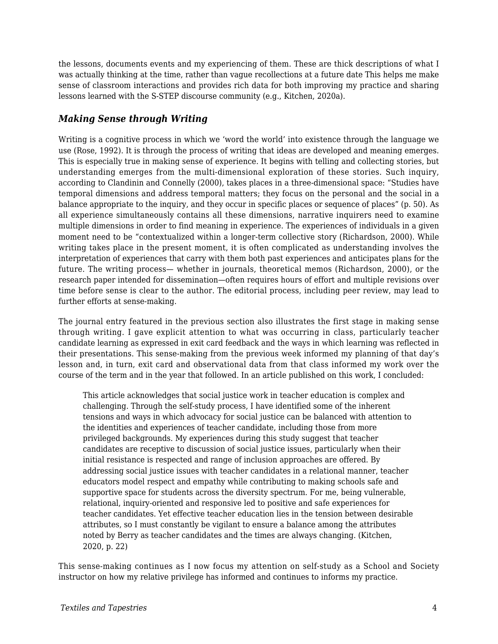the lessons, documents events and my experiencing of them. These are thick descriptions of what I was actually thinking at the time, rather than vague recollections at a future date This helps me make sense of classroom interactions and provides rich data for both improving my practice and sharing lessons learned with the S-STEP discourse community (e.g., Kitchen, 2020a).

#### *Making Sense through Writing*

Writing is a cognitive process in which we 'word the world' into existence through the language we use (Rose, 1992). It is through the process of writing that ideas are developed and meaning emerges. This is especially true in making sense of experience. It begins with telling and collecting stories, but understanding emerges from the multi-dimensional exploration of these stories. Such inquiry, according to Clandinin and Connelly (2000), takes places in a three-dimensional space: "Studies have temporal dimensions and address temporal matters; they focus on the personal and the social in a balance appropriate to the inquiry, and they occur in specific places or sequence of places" (p. 50). As all experience simultaneously contains all these dimensions, narrative inquirers need to examine multiple dimensions in order to find meaning in experience. The experiences of individuals in a given moment need to be "contextualized within a longer-term collective story (Richardson, 2000). While writing takes place in the present moment, it is often complicated as understanding involves the interpretation of experiences that carry with them both past experiences and anticipates plans for the future. The writing process— whether in journals, theoretical memos (Richardson, 2000), or the research paper intended for dissemination—often requires hours of effort and multiple revisions over time before sense is clear to the author. The editorial process, including peer review, may lead to further efforts at sense-making.

The journal entry featured in the previous section also illustrates the first stage in making sense through writing. I gave explicit attention to what was occurring in class, particularly teacher candidate learning as expressed in exit card feedback and the ways in which learning was reflected in their presentations. This sense-making from the previous week informed my planning of that day's lesson and, in turn, exit card and observational data from that class informed my work over the course of the term and in the year that followed. In an article published on this work, I concluded:

This article acknowledges that social justice work in teacher education is complex and challenging. Through the self-study process, I have identified some of the inherent tensions and ways in which advocacy for social justice can be balanced with attention to the identities and experiences of teacher candidate, including those from more privileged backgrounds. My experiences during this study suggest that teacher candidates are receptive to discussion of social justice issues, particularly when their initial resistance is respected and range of inclusion approaches are offered. By addressing social justice issues with teacher candidates in a relational manner, teacher educators model respect and empathy while contributing to making schools safe and supportive space for students across the diversity spectrum. For me, being vulnerable, relational, inquiry-oriented and responsive led to positive and safe experiences for teacher candidates. Yet effective teacher education lies in the tension between desirable attributes, so I must constantly be vigilant to ensure a balance among the attributes noted by Berry as teacher candidates and the times are always changing. (Kitchen, 2020, p. 22)

This sense-making continues as I now focus my attention on self-study as a School and Society instructor on how my relative privilege has informed and continues to informs my practice.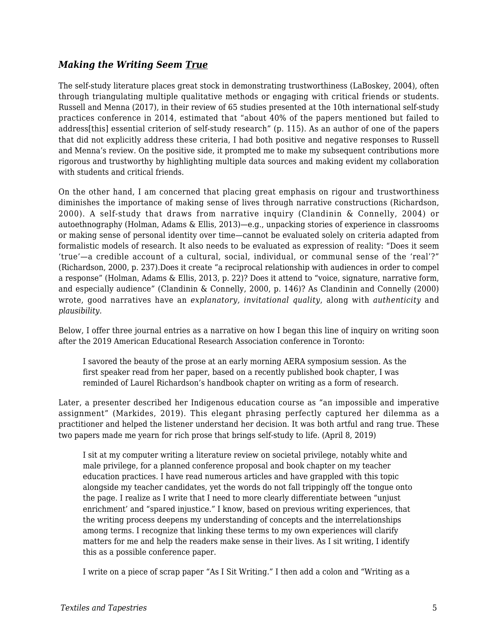#### *Making the Writing Seem True*

The self-study literature places great stock in demonstrating trustworthiness (LaBoskey, 2004), often through triangulating multiple qualitative methods or engaging with critical friends or students. Russell and Menna (2017), in their review of 65 studies presented at the 10th international self-study practices conference in 2014, estimated that "about 40% of the papers mentioned but failed to address[this] essential criterion of self-study research" (p. 115). As an author of one of the papers that did not explicitly address these criteria, I had both positive and negative responses to Russell and Menna's review. On the positive side, it prompted me to make my subsequent contributions more rigorous and trustworthy by highlighting multiple data sources and making evident my collaboration with students and critical friends.

On the other hand, I am concerned that placing great emphasis on rigour and trustworthiness diminishes the importance of making sense of lives through narrative constructions (Richardson, 2000). A self-study that draws from narrative inquiry (Clandinin & Connelly, 2004) or autoethnography (Holman, Adams & Ellis, 2013)—e.g., unpacking stories of experience in classrooms or making sense of personal identity over time—cannot be evaluated solely on criteria adapted from formalistic models of research. It also needs to be evaluated as expression of reality: "Does it seem 'true'—a credible account of a cultural, social, individual, or communal sense of the 'real'?" (Richardson, 2000, p. 237).Does it create "a reciprocal relationship with audiences in order to compel a response" (Holman, Adams & Ellis, 2013, p. 22)? Does it attend to "voice, signature, narrative form, and especially audience" (Clandinin & Connelly, 2000, p. 146)? As Clandinin and Connelly (2000) wrote, good narratives have an *explanatory, invitational quality*, along with *authenticity* and *plausibility.*

Below, I offer three journal entries as a narrative on how I began this line of inquiry on writing soon after the 2019 American Educational Research Association conference in Toronto:

I savored the beauty of the prose at an early morning AERA symposium session. As the first speaker read from her paper, based on a recently published book chapter, I was reminded of Laurel Richardson's handbook chapter on writing as a form of research.

Later, a presenter described her Indigenous education course as "an impossible and imperative assignment" (Markides, 2019). This elegant phrasing perfectly captured her dilemma as a practitioner and helped the listener understand her decision. It was both artful and rang true. These two papers made me yearn for rich prose that brings self-study to life. (April 8, 2019)

I sit at my computer writing a literature review on societal privilege, notably white and male privilege, for a planned conference proposal and book chapter on my teacher education practices. I have read numerous articles and have grappled with this topic alongside my teacher candidates, yet the words do not fall trippingly off the tongue onto the page. I realize as I write that I need to more clearly differentiate between "unjust enrichment' and "spared injustice." I know, based on previous writing experiences, that the writing process deepens my understanding of concepts and the interrelationships among terms. I recognize that linking these terms to my own experiences will clarify matters for me and help the readers make sense in their lives. As I sit writing, I identify this as a possible conference paper.

I write on a piece of scrap paper "As I Sit Writing." I then add a colon and "Writing as a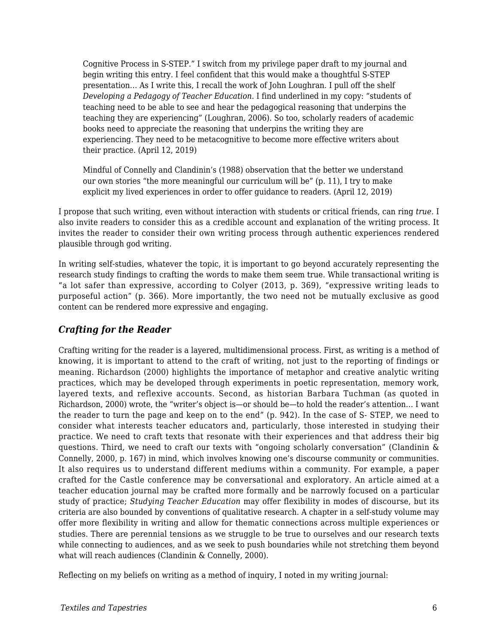Cognitive Process in S-STEP." I switch from my privilege paper draft to my journal and begin writing this entry. I feel confident that this would make a thoughtful S-STEP presentation… As I write this, I recall the work of John Loughran. I pull off the shelf *Developing a Pedagogy of Teacher Education*. I find underlined in my copy: "students of teaching need to be able to see and hear the pedagogical reasoning that underpins the teaching they are experiencing" (Loughran, 2006). So too, scholarly readers of academic books need to appreciate the reasoning that underpins the writing they are experiencing. They need to be metacognitive to become more effective writers about their practice. (April 12, 2019)

Mindful of Connelly and Clandinin's (1988) observation that the better we understand our own stories "the more meaningful our curriculum will be" (p. 11), I try to make explicit my lived experiences in order to offer guidance to readers. (April 12, 2019)

I propose that such writing, even without interaction with students or critical friends, can ring *true.* I also invite readers to consider this as a credible account and explanation of the writing process. It invites the reader to consider their own writing process through authentic experiences rendered plausible through god writing.

In writing self-studies, whatever the topic, it is important to go beyond accurately representing the research study findings to crafting the words to make them seem true. While transactional writing is "a lot safer than expressive, according to Colyer (2013, p. 369), "expressive writing leads to purposeful action" (p. 366). More importantly, the two need not be mutually exclusive as good content can be rendered more expressive and engaging.

#### *Crafting for the Reader*

Crafting writing for the reader is a layered, multidimensional process. First, as writing is a method of knowing, it is important to attend to the craft of writing, not just to the reporting of findings or meaning. Richardson (2000) highlights the importance of metaphor and creative analytic writing practices, which may be developed through experiments in poetic representation, memory work, layered texts, and reflexive accounts. Second, as historian Barbara Tuchman (as quoted in Richardson, 2000) wrote, the "writer's object is—or should be—to hold the reader's attention… I want the reader to turn the page and keep on to the end" (p. 942). In the case of S- STEP, we need to consider what interests teacher educators and, particularly, those interested in studying their practice. We need to craft texts that resonate with their experiences and that address their big questions. Third, we need to craft our texts with "ongoing scholarly conversation" (Clandinin & Connelly, 2000, p. 167) in mind, which involves knowing one's discourse community or communities. It also requires us to understand different mediums within a community. For example, a paper crafted for the Castle conference may be conversational and exploratory. An article aimed at a teacher education journal may be crafted more formally and be narrowly focused on a particular study of practice; *Studying Teacher Education* may offer flexibility in modes of discourse, but its criteria are also bounded by conventions of qualitative research. A chapter in a self-study volume may offer more flexibility in writing and allow for thematic connections across multiple experiences or studies. There are perennial tensions as we struggle to be true to ourselves and our research texts while connecting to audiences, and as we seek to push boundaries while not stretching them beyond what will reach audiences (Clandinin & Connelly, 2000).

Reflecting on my beliefs on writing as a method of inquiry, I noted in my writing journal: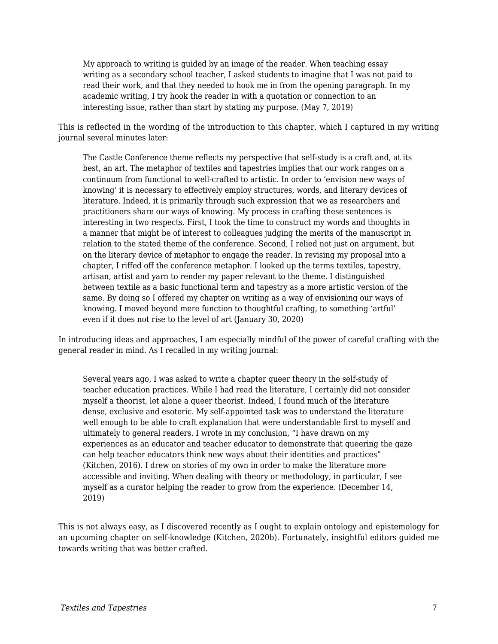My approach to writing is guided by an image of the reader. When teaching essay writing as a secondary school teacher, I asked students to imagine that I was not paid to read their work, and that they needed to hook me in from the opening paragraph. In my academic writing, I try hook the reader in with a quotation or connection to an interesting issue, rather than start by stating my purpose. (May 7, 2019)

This is reflected in the wording of the introduction to this chapter, which I captured in my writing journal several minutes later:

The Castle Conference theme reflects my perspective that self-study is a craft and, at its best, an art. The metaphor of textiles and tapestries implies that our work ranges on a continuum from functional to well-crafted to artistic. In order to 'envision new ways of knowing' it is necessary to effectively employ structures, words, and literary devices of literature. Indeed, it is primarily through such expression that we as researchers and practitioners share our ways of knowing. My process in crafting these sentences is interesting in two respects. First, I took the time to construct my words and thoughts in a manner that might be of interest to colleagues judging the merits of the manuscript in relation to the stated theme of the conference. Second, I relied not just on argument, but on the literary device of metaphor to engage the reader. In revising my proposal into a chapter, I riffed off the conference metaphor. I looked up the terms textiles, tapestry, artisan, artist and yarn to render my paper relevant to the theme. I distinguished between textile as a basic functional term and tapestry as a more artistic version of the same. By doing so I offered my chapter on writing as a way of envisioning our ways of knowing. I moved beyond mere function to thoughtful crafting, to something 'artful' even if it does not rise to the level of art (January 30, 2020)

In introducing ideas and approaches, I am especially mindful of the power of careful crafting with the general reader in mind. As I recalled in my writing journal:

Several years ago, I was asked to write a chapter queer theory in the self-study of teacher education practices. While I had read the literature, I certainly did not consider myself a theorist, let alone a queer theorist. Indeed, I found much of the literature dense, exclusive and esoteric. My self-appointed task was to understand the literature well enough to be able to craft explanation that were understandable first to myself and ultimately to general readers. I wrote in my conclusion, "I have drawn on my experiences as an educator and teacher educator to demonstrate that queering the gaze can help teacher educators think new ways about their identities and practices" (Kitchen, 2016). I drew on stories of my own in order to make the literature more accessible and inviting. When dealing with theory or methodology, in particular, I see myself as a curator helping the reader to grow from the experience. (December 14, 2019)

This is not always easy, as I discovered recently as I ought to explain ontology and epistemology for an upcoming chapter on self-knowledge (Kitchen, 2020b). Fortunately, insightful editors guided me towards writing that was better crafted.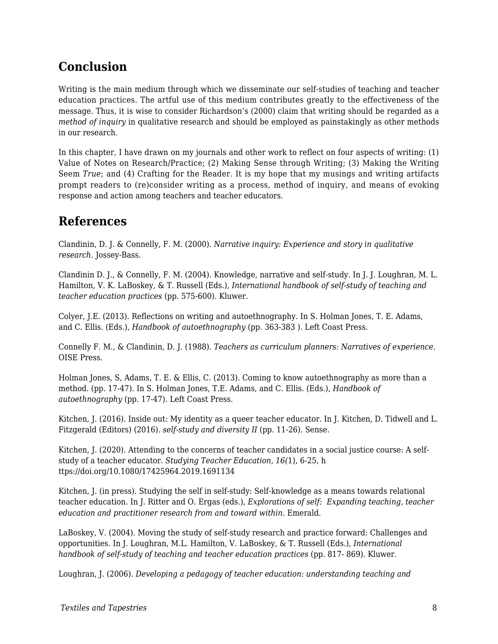# **Conclusion**

Writing is the main medium through which we disseminate our self-studies of teaching and teacher education practices. The artful use of this medium contributes greatly to the effectiveness of the message. Thus, it is wise to consider Richardson's (2000) claim that writing should be regarded as a *method of inquiry* in qualitative research and should be employed as painstakingly as other methods in our research.

In this chapter, I have drawn on my journals and other work to reflect on four aspects of writing: (1) Value of Notes on Research/Practice; (2) Making Sense through Writing; (3) Making the Writing Seem *True*; and (4) Crafting for the Reader. It is my hope that my musings and writing artifacts prompt readers to (re)consider writing as a process, method of inquiry, and means of evoking response and action among teachers and teacher educators.

### **References**

Clandinin, D. J. & Connelly, F. M. (2000). *Narrative inquiry: Experience and story in qualitative research.* Jossey-Bass.

Clandinin D. J., & Connelly, F. M. (2004). Knowledge, narrative and self-study. In J. J. Loughran, M. L. Hamilton, V. K. LaBoskey, & T. Russell (Eds.), *International handbook of self-study of teaching and teacher education practices* (pp. 575-600). Kluwer.

Colyer, J.E. (2013). Reflections on writing and autoethnography. In S. Holman Jones, T. E. Adams, and C. Ellis. (Eds.), *Handbook of autoethnography* (pp. 363-383 ). Left Coast Press.

Connelly F. M., & Clandinin, D. J. (1988). *Teachers as curriculum planners: Narratives of experience.* OISE Press.

Holman Jones, S, Adams, T. E. & Ellis, C. (2013). Coming to know autoethnography as more than a method. (pp. 17-47). In S. Holman Jones, T.E. Adams, and C. Ellis. (Eds.), *Handbook of autoethnography* (pp. 17-47). Left Coast Press.

Kitchen, J. (2016). Inside out: My identity as a queer teacher educator. In J. Kitchen, D. Tidwell and L. Fitzgerald (Editors) (2016). *self-study and diversity II* (pp. 11-26). Sense.

Kitchen, J. (2020). Attending to the concerns of teacher candidates in a social justice course: A selfstudy of a teacher educator. *Studying Teacher Education, 16(*1), 6-25, h ttps://doi.org/10.1080/17425964.2019.1691134

Kitchen, J. (in press). Studying the self in self-study: Self-knowledge as a means towards relational teacher education. In J. Ritter and O. Ergas (eds.), *Explorations of self: Expanding teaching, teacher education and practitioner research from and toward within.* Emerald.

LaBoskey, V. (2004). Moving the study of self-study research and practice forward: Challenges and opportunities. In J. Loughran, M.L. Hamilton, V. LaBoskey, & T. Russell (Eds.), *International handbook of self-study of teaching and teacher education practices* (pp. 817- 869). Kluwer.

Loughran, J. (2006). *Developing a pedagogy of teacher education: understanding teaching and*